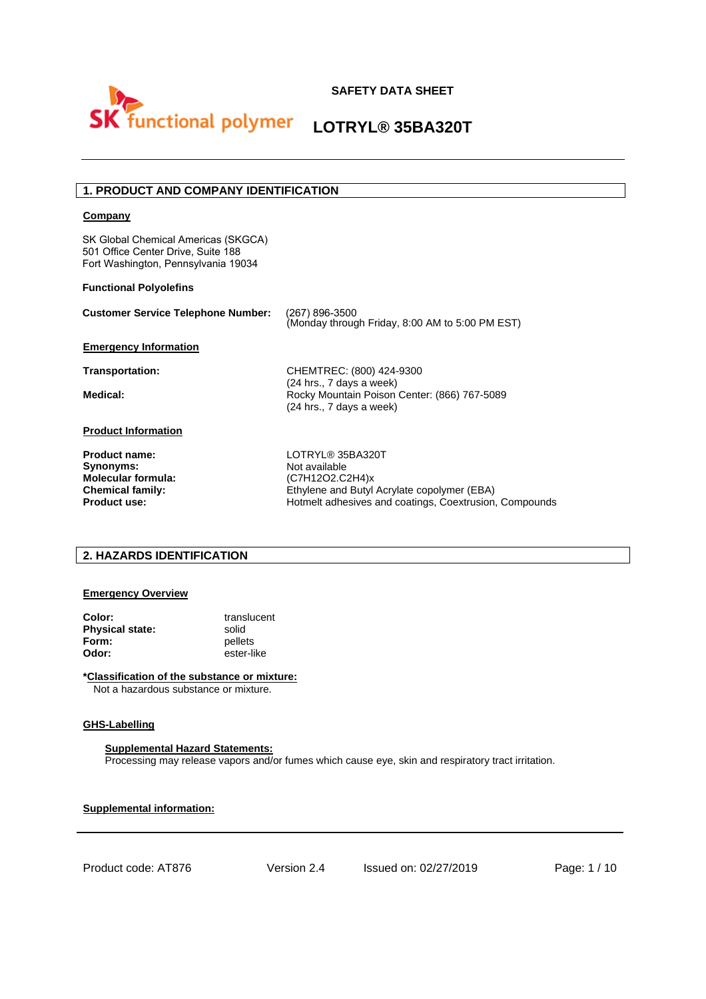

### **1. PRODUCT AND COMPANY IDENTIFICATION**

#### **Company**

SK Global Chemical Americas (SKGCA) 501 Office Center Drive, Suite 188 Fort Washington, Pennsylvania 19034

#### **Functional Polyolefins**

| <b>Customer Service Telephone Number:</b> | (267) 896-3500<br>(Monday through Friday, 8:00 AM to 5:00 PM EST)        |
|-------------------------------------------|--------------------------------------------------------------------------|
| <b>Emergency Information</b>              |                                                                          |
| Transportation:                           | CHEMTREC: (800) 424-9300<br>(24 hrs., 7 days a week)                     |
| Medical:                                  | Rocky Mountain Poison Center: (866) 767-5089<br>(24 hrs., 7 days a week) |
| <b>Product Information</b>                |                                                                          |
| <b>Product name:</b><br>Synonyms:         | LOTRYL® 35BA320T<br>Not available                                        |
| <b>Molecular formula:</b>                 | (C7H12O2.C2H4)x                                                          |
| <b>Chemical family:</b>                   | Ethylene and Butyl Acrylate copolymer (EBA)                              |
| <b>Product use:</b>                       | Hotmelt adhesives and coatings, Coextrusion, Compounds                   |

#### **2. HAZARDS IDENTIFICATION**

#### **Emergency Overview**

| Color:          | translucent |
|-----------------|-------------|
| Physical state: | solid       |
| Form:           | pellets     |
| Odor:           | ester-like  |

**\*Classification of the substance or mixture:** Not a hazardous substance or mixture.

#### **GHS-Labelling**

#### **Supplemental Hazard Statements:**

Processing may release vapors and/or fumes which cause eye, skin and respiratory tract irritation.

**Supplemental information:**

Product code: AT876 Version 2.4 Issued on: 02/27/2019 Page: 1 / 10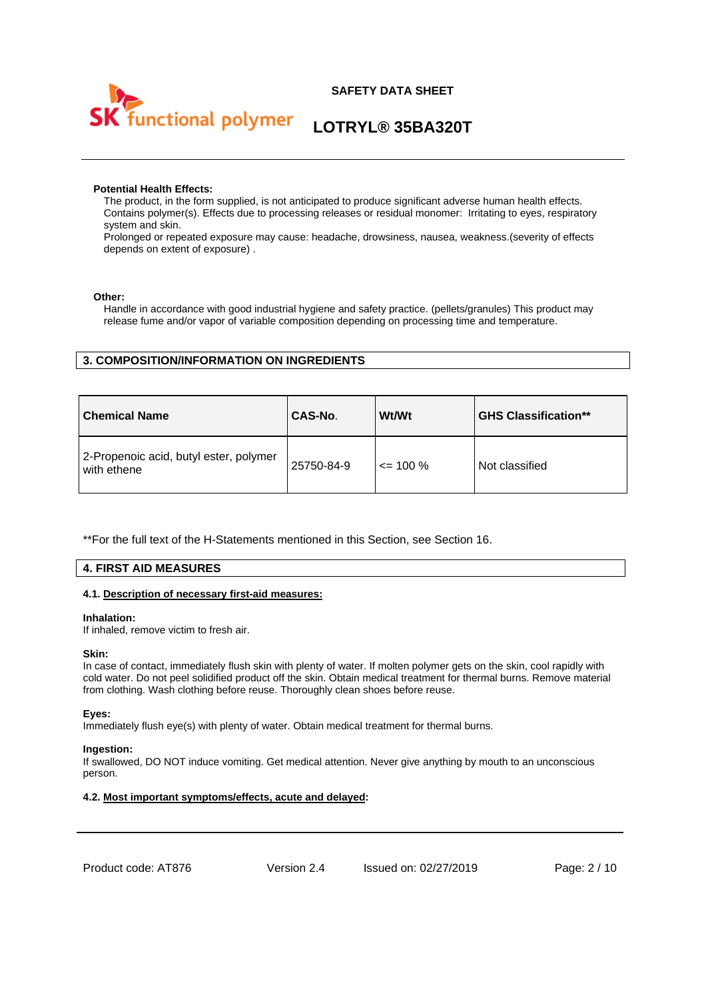

#### **Potential Health Effects:**

The product, in the form supplied, is not anticipated to produce significant adverse human health effects. Contains polymer(s). Effects due to processing releases or residual monomer: Irritating to eyes, respiratory system and skin.

Prolonged or repeated exposure may cause: headache, drowsiness, nausea, weakness.(severity of effects depends on extent of exposure) .

#### **Other:**

Handle in accordance with good industrial hygiene and safety practice. (pellets/granules) This product may release fume and/or vapor of variable composition depending on processing time and temperature.

### **3. COMPOSITION/INFORMATION ON INGREDIENTS**

| <b>Chemical Name</b>                                  | CAS-No.    | Wt/Wt        | <b>GHS Classification**</b> |
|-------------------------------------------------------|------------|--------------|-----------------------------|
| 2-Propenoic acid, butyl ester, polymer<br>with ethene | 25750-84-9 | $\leq$ 100 % | Not classified              |

\*\*For the full text of the H-Statements mentioned in this Section, see Section 16.

#### **4. FIRST AID MEASURES**

#### **4.1. Description of necessary first-aid measures:**

#### **Inhalation:**

If inhaled, remove victim to fresh air.

#### **Skin:**

In case of contact, immediately flush skin with plenty of water. If molten polymer gets on the skin, cool rapidly with cold water. Do not peel solidified product off the skin. Obtain medical treatment for thermal burns. Remove material from clothing. Wash clothing before reuse. Thoroughly clean shoes before reuse.

#### **Eyes:**

Immediately flush eye(s) with plenty of water. Obtain medical treatment for thermal burns.

#### **Ingestion:**

If swallowed, DO NOT induce vomiting. Get medical attention. Never give anything by mouth to an unconscious person.

#### **4.2. Most important symptoms/effects, acute and delayed:**

Product code: AT876 Version 2.4 Issued on: 02/27/2019 Page: 2 / 10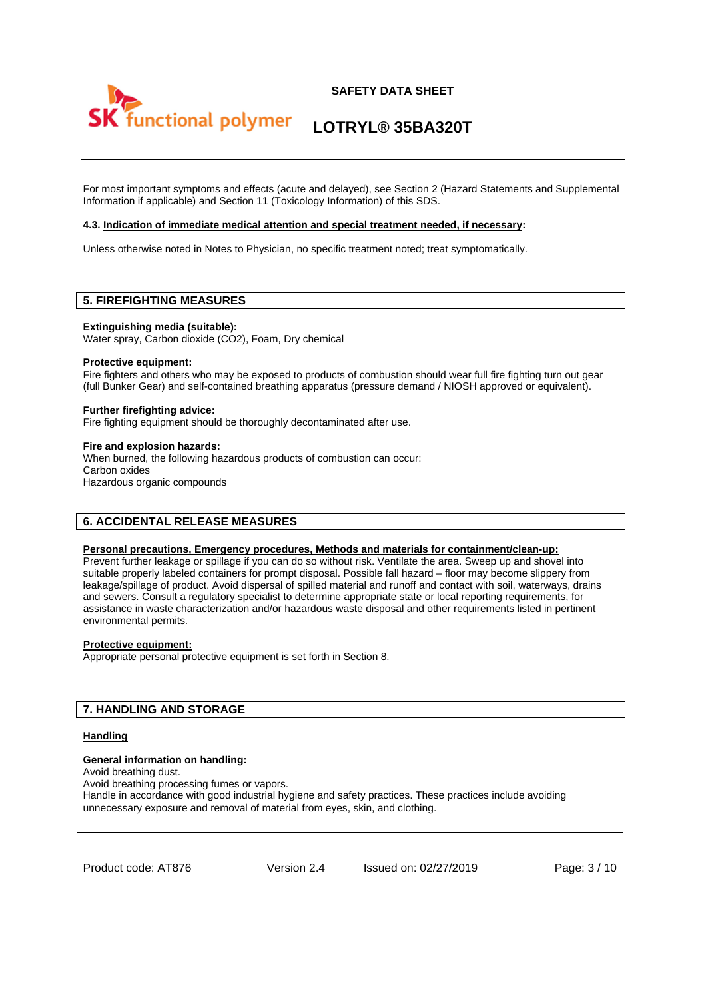



For most important symptoms and effects (acute and delayed), see Section 2 (Hazard Statements and Supplemental Information if applicable) and Section 11 (Toxicology Information) of this SDS.

#### **4.3. Indication of immediate medical attention and special treatment needed, if necessary:**

Unless otherwise noted in Notes to Physician, no specific treatment noted; treat symptomatically.

#### **5. FIREFIGHTING MEASURES**

**Extinguishing media (suitable):** 

Water spray, Carbon dioxide (CO2), Foam, Dry chemical

#### **Protective equipment:**

Fire fighters and others who may be exposed to products of combustion should wear full fire fighting turn out gear (full Bunker Gear) and self-contained breathing apparatus (pressure demand / NIOSH approved or equivalent).

#### **Further firefighting advice:**

Fire fighting equipment should be thoroughly decontaminated after use.

#### **Fire and explosion hazards:**

When burned, the following hazardous products of combustion can occur: Carbon oxides Hazardous organic compounds

#### **6. ACCIDENTAL RELEASE MEASURES**

#### **Personal precautions, Emergency procedures, Methods and materials for containment/clean-up:**

Prevent further leakage or spillage if you can do so without risk. Ventilate the area. Sweep up and shovel into suitable properly labeled containers for prompt disposal. Possible fall hazard – floor may become slippery from leakage/spillage of product. Avoid dispersal of spilled material and runoff and contact with soil, waterways, drains and sewers. Consult a regulatory specialist to determine appropriate state or local reporting requirements, for assistance in waste characterization and/or hazardous waste disposal and other requirements listed in pertinent environmental permits.

#### **Protective equipment:**

Appropriate personal protective equipment is set forth in Section 8.

#### **7. HANDLING AND STORAGE**

#### **Handling**

#### **General information on handling:**

Avoid breathing dust.

Avoid breathing processing fumes or vapors. Handle in accordance with good industrial hygiene and safety practices. These practices include avoiding

unnecessary exposure and removal of material from eyes, skin, and clothing.

Product code: AT876 Version 2.4 Issued on: 02/27/2019 Page: 3 / 10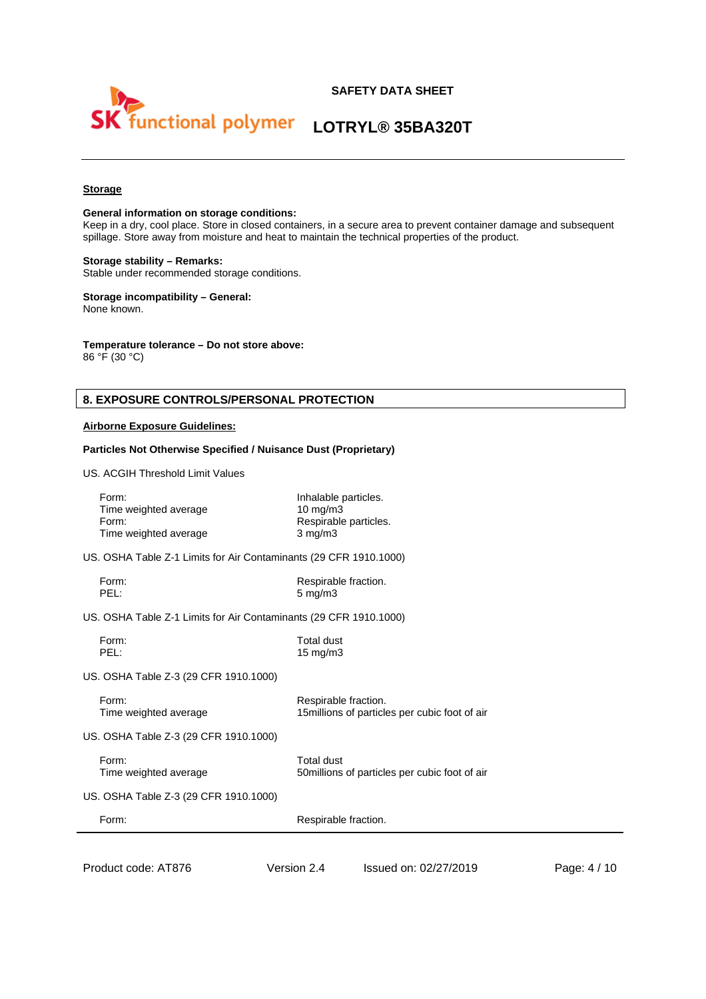

#### **Storage**

#### **General information on storage conditions:**

Keep in a dry, cool place. Store in closed containers, in a secure area to prevent container damage and subsequent spillage. Store away from moisture and heat to maintain the technical properties of the product.

#### **Storage stability – Remarks:**

Stable under recommended storage conditions.

#### **Storage incompatibility – General:** None known.

#### **Temperature tolerance – Do not store above:**

86 °F (30 °C)

### **8. EXPOSURE CONTROLS/PERSONAL PROTECTION**

#### **Airborne Exposure Guidelines:**

#### **Particles Not Otherwise Specified / Nuisance Dust (Proprietary)**

US. ACGIH Threshold Limit Values

| Form:<br>Time weighted average<br>Form:<br>Time weighted average  | Inhalable particles.<br>$10 \text{ mg/m}$<br>$3$ mg/m $3$ | Respirable particles.                          |              |
|-------------------------------------------------------------------|-----------------------------------------------------------|------------------------------------------------|--------------|
| US. OSHA Table Z-1 Limits for Air Contaminants (29 CFR 1910.1000) |                                                           |                                                |              |
| Form:<br>PEL:                                                     | Respirable fraction.<br>$5 \text{ mg/m}$ 3                |                                                |              |
| US. OSHA Table Z-1 Limits for Air Contaminants (29 CFR 1910.1000) |                                                           |                                                |              |
| Form:<br>PEL:                                                     | <b>Total dust</b><br>$15 \text{ mg/m}$                    |                                                |              |
| US. OSHA Table Z-3 (29 CFR 1910.1000)                             |                                                           |                                                |              |
| Form:<br>Time weighted average                                    | Respirable fraction.                                      | 15 millions of particles per cubic foot of air |              |
| US. OSHA Table Z-3 (29 CFR 1910.1000)                             |                                                           |                                                |              |
| Form:<br>Time weighted average                                    | Total dust                                                | 50 millions of particles per cubic foot of air |              |
| US. OSHA Table Z-3 (29 CFR 1910.1000)                             |                                                           |                                                |              |
| Form:                                                             | Respirable fraction.                                      |                                                |              |
|                                                                   |                                                           |                                                |              |
| Product code: AT876                                               | Version 2.4                                               | Issued on: 02/27/2019                          | Page: 4 / 10 |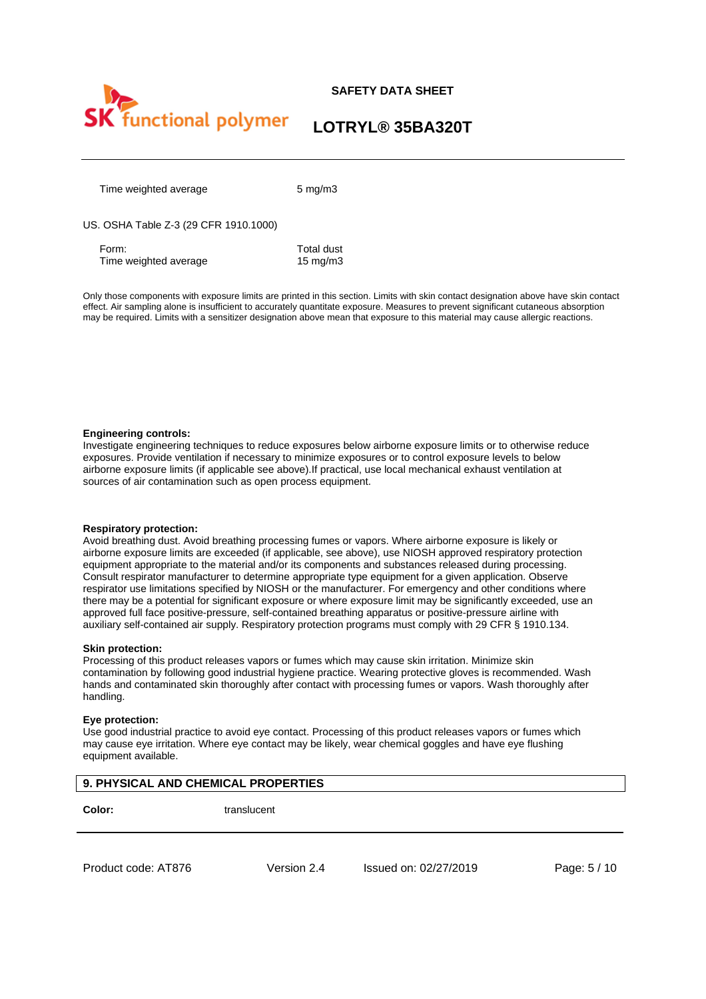

## **LOTRYL® 35BA320T**

Time weighted average 5 mg/m3

US. OSHA Table Z-3 (29 CFR 1910.1000)

Form: Total dust Time weighted average 15 mg/m3

Only those components with exposure limits are printed in this section. Limits with skin contact designation above have skin contact effect. Air sampling alone is insufficient to accurately quantitate exposure. Measures to prevent significant cutaneous absorption may be required. Limits with a sensitizer designation above mean that exposure to this material may cause allergic reactions.

#### **Engineering controls:**

Investigate engineering techniques to reduce exposures below airborne exposure limits or to otherwise reduce exposures. Provide ventilation if necessary to minimize exposures or to control exposure levels to below airborne exposure limits (if applicable see above).If practical, use local mechanical exhaust ventilation at sources of air contamination such as open process equipment.

#### **Respiratory protection:**

Avoid breathing dust. Avoid breathing processing fumes or vapors. Where airborne exposure is likely or airborne exposure limits are exceeded (if applicable, see above), use NIOSH approved respiratory protection equipment appropriate to the material and/or its components and substances released during processing. Consult respirator manufacturer to determine appropriate type equipment for a given application. Observe respirator use limitations specified by NIOSH or the manufacturer. For emergency and other conditions where there may be a potential for significant exposure or where exposure limit may be significantly exceeded, use an approved full face positive-pressure, self-contained breathing apparatus or positive-pressure airline with auxiliary self-contained air supply. Respiratory protection programs must comply with 29 CFR § 1910.134.

#### **Skin protection:**

Processing of this product releases vapors or fumes which may cause skin irritation. Minimize skin contamination by following good industrial hygiene practice. Wearing protective gloves is recommended. Wash hands and contaminated skin thoroughly after contact with processing fumes or vapors. Wash thoroughly after handling.

#### **Eye protection:**

Use good industrial practice to avoid eye contact. Processing of this product releases vapors or fumes which may cause eye irritation. Where eye contact may be likely, wear chemical goggles and have eye flushing equipment available.

**Color:** translucent

Product code: AT876 Version 2.4 Issued on: 02/27/2019 Page: 5 / 10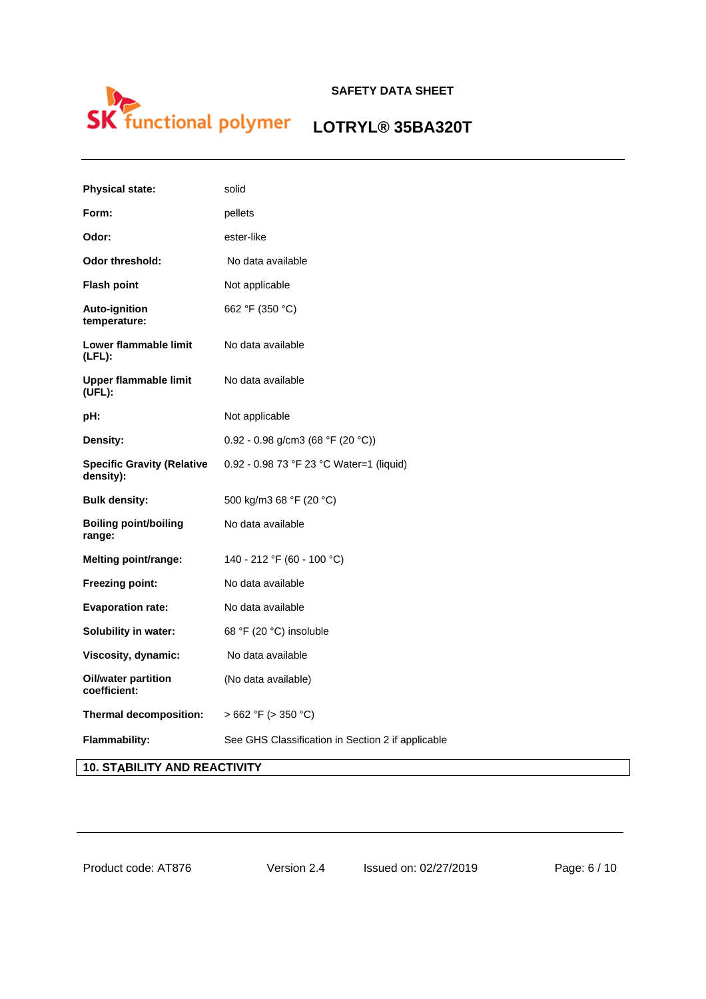# LOTRYL® 35BA320T  $\mathsf{S}$

| <b>Physical state:</b>                         | solid                                             |
|------------------------------------------------|---------------------------------------------------|
| Form:                                          | pellets                                           |
| Odor:                                          | ester-like                                        |
| <b>Odor threshold:</b>                         | No data available                                 |
| <b>Flash point</b>                             | Not applicable                                    |
| <b>Auto-ignition</b><br>temperature:           | 662 °F (350 °C)                                   |
| Lower flammable limit<br>$(LFL)$ :             | No data available                                 |
| Upper flammable limit<br>(UFL):                | No data available                                 |
| pH:                                            | Not applicable                                    |
| Density:                                       | 0.92 - 0.98 g/cm3 (68 °F (20 °C))                 |
| <b>Specific Gravity (Relative</b><br>density): | 0.92 - 0.98 73 °F 23 °C Water=1 (liquid)          |
| <b>Bulk density:</b>                           | 500 kg/m3 68 °F (20 °C)                           |
| <b>Boiling point/boiling</b><br>range:         | No data available                                 |
| Melting point/range:                           | 140 - 212 °F (60 - 100 °C)                        |
| Freezing point:                                | No data available                                 |
| <b>Evaporation rate:</b>                       | No data available                                 |
| Solubility in water:                           | 68 °F (20 °C) insoluble                           |
| Viscosity, dynamic:                            | No data available                                 |
| <b>Oil/water partition</b><br>coefficient:     | (No data available)                               |
| Thermal decomposition:                         | $>662$ °F ( $>350$ °C)                            |
| Flammability:                                  | See GHS Classification in Section 2 if applicable |

**10. STABILITY AND REACTIVITY**

Product code: AT876 Version 2.4 Issued on: 02/27/2019 Page: 6 / 10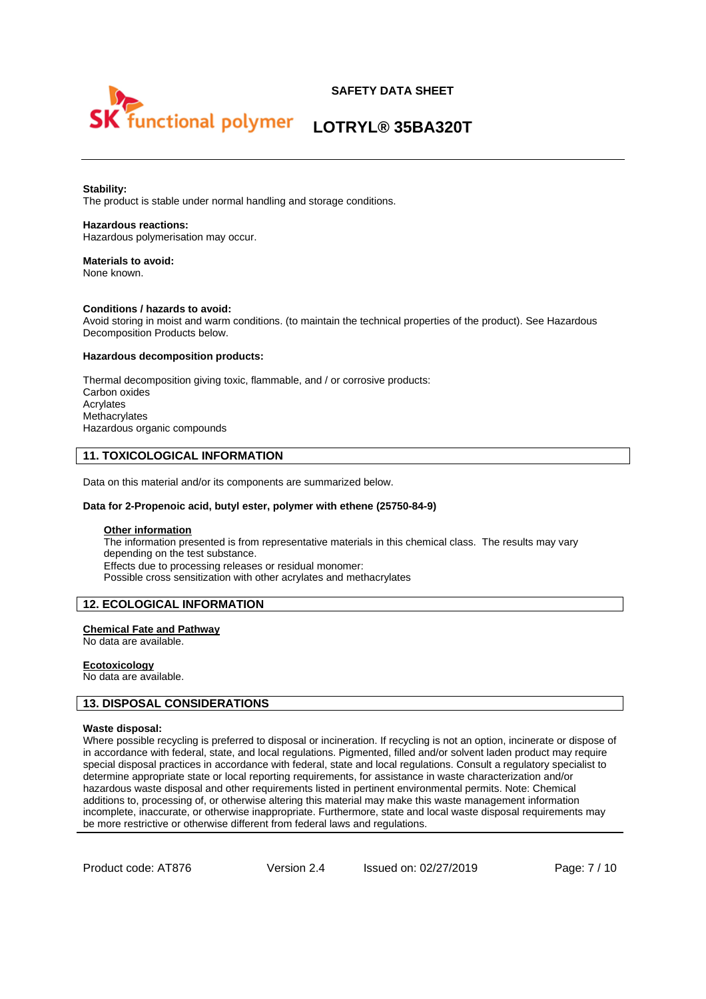



#### **Stability:**

The product is stable under normal handling and storage conditions.

#### **Hazardous reactions:**

Hazardous polymerisation may occur.

#### **Materials to avoid:**  None known.

#### **Conditions / hazards to avoid:**

Avoid storing in moist and warm conditions. (to maintain the technical properties of the product). See Hazardous Decomposition Products below.

#### **Hazardous decomposition products:**

Thermal decomposition giving toxic, flammable, and / or corrosive products: Carbon oxides Acrylates **Methacrylates** Hazardous organic compounds

#### **11. TOXICOLOGICAL INFORMATION**

Data on this material and/or its components are summarized below.

#### **Data for 2-Propenoic acid, butyl ester, polymer with ethene (25750-84-9)**

#### **Other information**

The information presented is from representative materials in this chemical class. The results may vary depending on the test substance. Effects due to processing releases or residual monomer: Possible cross sensitization with other acrylates and methacrylates

#### **12. ECOLOGICAL INFORMATION**

#### **Chemical Fate and Pathway**

No data are available.

#### **Ecotoxicology**

No data are available.

#### **13. DISPOSAL CONSIDERATIONS**

#### **Waste disposal:**

Where possible recycling is preferred to disposal or incineration. If recycling is not an option, incinerate or dispose of in accordance with federal, state, and local regulations. Pigmented, filled and/or solvent laden product may require special disposal practices in accordance with federal, state and local regulations. Consult a regulatory specialist to determine appropriate state or local reporting requirements, for assistance in waste characterization and/or hazardous waste disposal and other requirements listed in pertinent environmental permits. Note: Chemical additions to, processing of, or otherwise altering this material may make this waste management information incomplete, inaccurate, or otherwise inappropriate. Furthermore, state and local waste disposal requirements may be more restrictive or otherwise different from federal laws and regulations.

Product code: AT876 Version 2.4 Issued on: 02/27/2019 Page: 7 / 10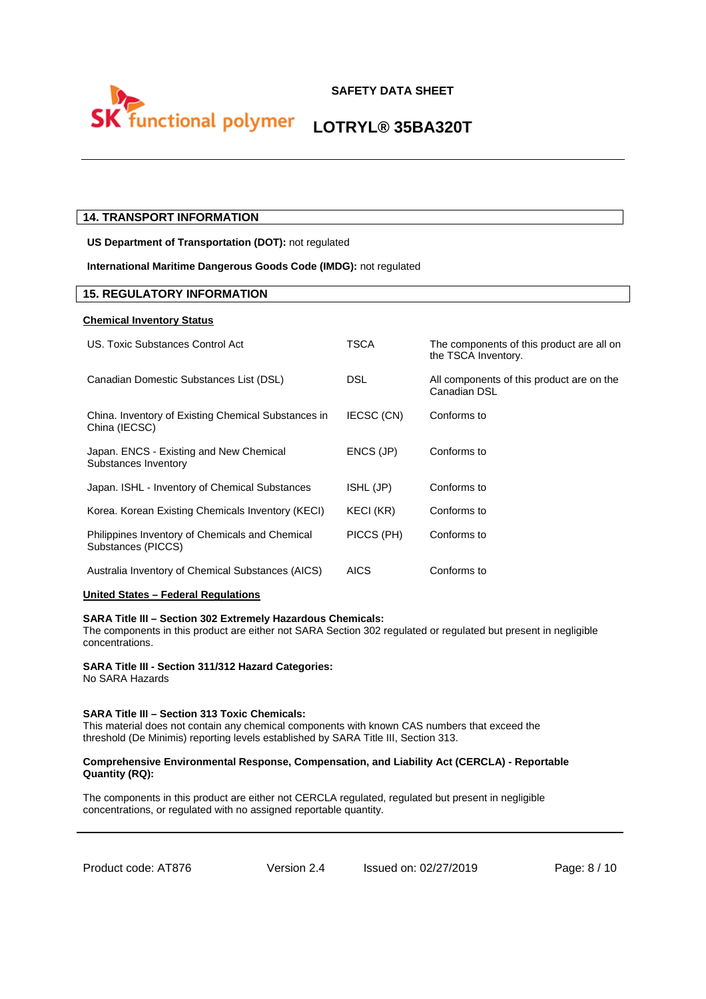

### **14. TRANSPORT INFORMATION**

**US Department of Transportation (DOT):** not regulated

#### **International Maritime Dangerous Goods Code (IMDG):** not regulated

#### **15. REGULATORY INFORMATION**

#### **Chemical Inventory Status**

| US. Toxic Substances Control Act                                      | TSCA        | The components of this product are all on<br>the TSCA Inventory. |
|-----------------------------------------------------------------------|-------------|------------------------------------------------------------------|
| Canadian Domestic Substances List (DSL)                               | DSL         | All components of this product are on the<br>Canadian DSL        |
| China. Inventory of Existing Chemical Substances in<br>China (IECSC)  | IECSC (CN)  | Conforms to                                                      |
| Japan. ENCS - Existing and New Chemical<br>Substances Inventory       | ENCS (JP)   | Conforms to                                                      |
| Japan. ISHL - Inventory of Chemical Substances                        | ISHL (JP)   | Conforms to                                                      |
| Korea. Korean Existing Chemicals Inventory (KECI)                     | KECI (KR)   | Conforms to                                                      |
| Philippines Inventory of Chemicals and Chemical<br>Substances (PICCS) | PICCS (PH)  | Conforms to                                                      |
| Australia Inventory of Chemical Substances (AICS)                     | <b>AICS</b> | Conforms to                                                      |

#### **United States – Federal Regulations**

#### **SARA Title III – Section 302 Extremely Hazardous Chemicals:**

The components in this product are either not SARA Section 302 regulated or regulated but present in negligible concentrations.

#### **SARA Title III - Section 311/312 Hazard Categories:**

No SARA Hazards

#### **SARA Title III – Section 313 Toxic Chemicals:**

This material does not contain any chemical components with known CAS numbers that exceed the threshold (De Minimis) reporting levels established by SARA Title III, Section 313.

#### **Comprehensive Environmental Response, Compensation, and Liability Act (CERCLA) - Reportable Quantity (RQ):**

The components in this product are either not CERCLA regulated, regulated but present in negligible concentrations, or regulated with no assigned reportable quantity.

Product code: AT876 Version 2.4 Issued on: 02/27/2019 Page: 8/10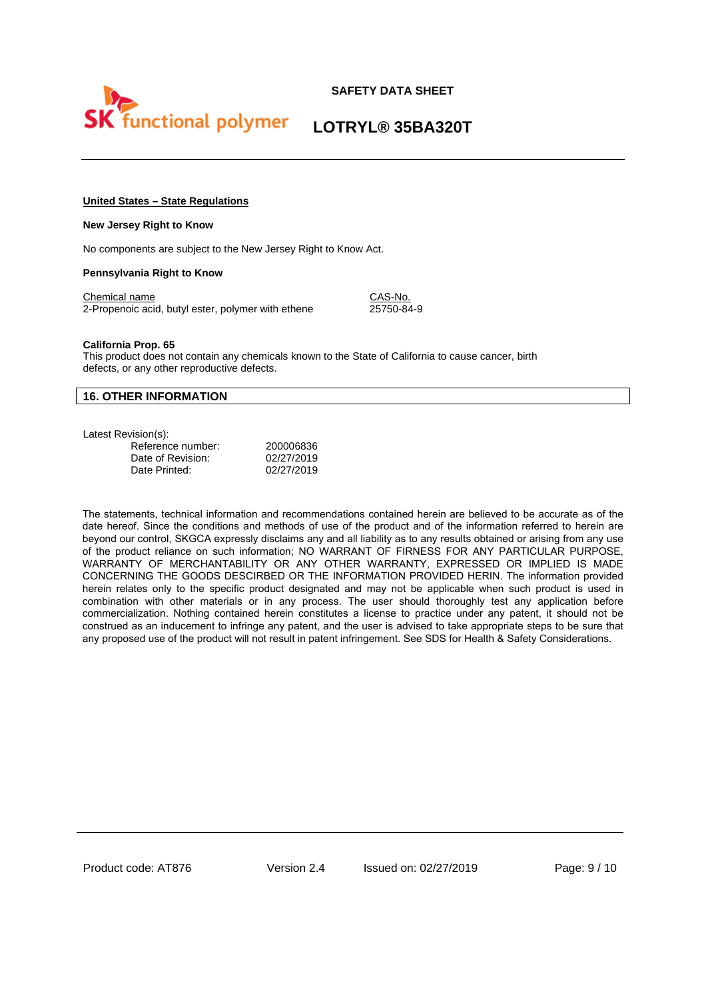

# **LOTRYL® 35BA320T**

#### **United States – State Regulations**

#### **New Jersey Right to Know**

No components are subject to the New Jersey Right to Know Act.

#### **Pennsylvania Right to Know**

Chemical name CAS-No. 2-Propenoic acid, butyl ester, polymer with ethene 25750-84-9

#### **California Prop. 65**

This product does not contain any chemicals known to the State of California to cause cancer, birth defects, or any other reproductive defects.

#### **16. OTHER INFORMATION**

Latest Revision(s):

| ,,,,,,,,,,,       |            |
|-------------------|------------|
| Reference number: | 200006836  |
| Date of Revision: | 02/27/2019 |
| Date Printed:     | 02/27/2019 |

The statements, technical information and recommendations contained herein are believed to be accurate as of the date hereof. Since the conditions and methods of use of the product and of the information referred to herein are beyond our control, SKGCA expressly disclaims any and all liability as to any results obtained or arising from any use of the product reliance on such information; NO WARRANT OF FIRNESS FOR ANY PARTICULAR PURPOSE, WARRANTY OF MERCHANTABILITY OR ANY OTHER WARRANTY, EXPRESSED OR IMPLIED IS MADE CONCERNING THE GOODS DESCIRBED OR THE INFORMATION PROVIDED HERIN. The information provided herein relates only to the specific product designated and may not be applicable when such product is used in combination with other materials or in any process. The user should thoroughly test any application before commercialization. Nothing contained herein constitutes a license to practice under any patent, it should not be construed as an inducement to infringe any patent, and the user is advised to take appropriate steps to be sure that any proposed use of the product will not result in patent infringement. See SDS for Health & Safety Considerations.

Product code: AT876 Version 2.4 Issued on: 02/27/2019 Page: 9/10